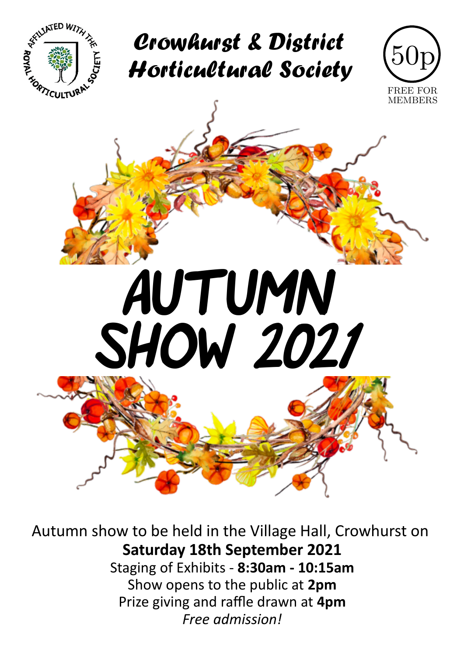

Crowhurst & District Horticultural Society





Autumn show to be held in the Village Hall, Crowhurst on **Saturday 18th September 2021** Staging of Exhibits - **8:30am - 10:15am** Show opens to the public at **2pm** Prize giving and raffle drawn at **4pm** *Free admission!*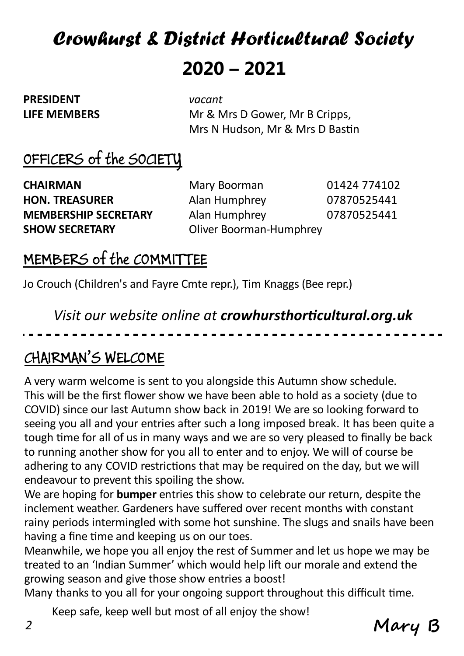# Crowhurst & District Horticultural Society **2020 – 2021**

**PRESIDENT** *vacant*

**LIFE MEMBERS** Mr & Mrs D Gower, Mr B Cripps, Mrs N Hudson, Mr & Mrs D Bastin

### OFFICERS of the SOCIETY

**CHAIRMAN** Mary Boorman 01424 774102

**HON. TREASURER** Alan Humphrey 07870525441 **MEMBERSHIP SECRETARY** Alan Humphrey 07870525441 **SHOW SECRETARY Oliver Boorman-Humphrey** 

#### MEMBERS of the COMMITTEE

Jo Crouch (Children's and Fayre Cmte repr.), Tim Knaggs (Bee repr.)

*Visit our website online at crowhursthorticultural.org.uk*

#### CHAIRMAN'S WELCOME

A very warm welcome is sent to you alongside this Autumn show schedule. This will be the first flower show we have been able to hold as a society (due to COVID) since our last Autumn show back in 2019! We are so looking forward to seeing you all and your entries after such a long imposed break. It has been quite a tough time for all of us in many ways and we are so very pleased to finally be back to running another show for you all to enter and to enjoy. We will of course be adhering to any COVID restrictions that may be required on the day, but we will endeavour to prevent this spoiling the show.

We are hoping for **bumper** entries this show to celebrate our return, despite the inclement weather. Gardeners have suffered over recent months with constant rainy periods intermingled with some hot sunshine. The slugs and snails have been having a fine time and keeping us on our toes.

Meanwhile, we hope you all enjoy the rest of Summer and let us hope we may be treated to an 'Indian Summer' which would help lift our morale and extend the growing season and give those show entries a boost!

Many thanks to you all for your ongoing support throughout this difficult time.

Keep safe, keep well but most of all enjoy the show!

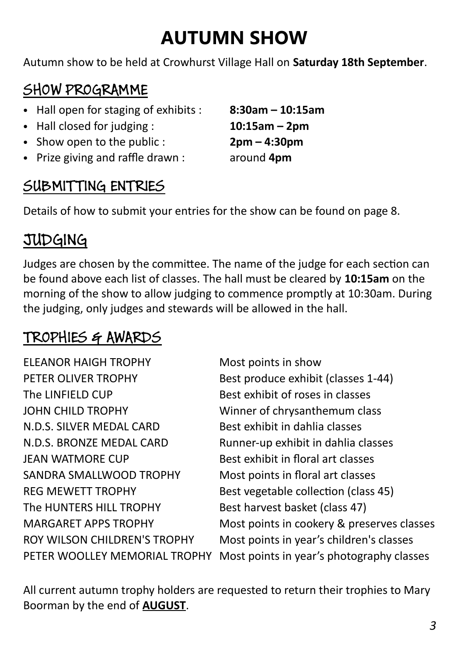# **AUTUMN SHOW**

Autumn show to be held at Crowhurst Village Hall on **Saturday 18th September**.

# SHOW PROGRAMME

- Hall open for staging of exhibits : **8:30am 10:15am**
- Hall closed for judging : **10:15am 2pm**
- Show open to the public : **2pm 4:30pm**
- Prize giving and raffle drawn : around **4pm**

#### SUBMITTING ENTRIES

Details of how to submit your entries for the show can be found on page 8.

### JUDGING

Judges are chosen by the committee. The name of the judge for each section can be found above each list of classes. The hall must be cleared by **10:15am** on the morning of the show to allow judging to commence promptly at 10:30am. During the judging, only judges and stewards will be allowed in the hall.

#### TROPHIES & AWARDS

ELEANOR HAIGH TROPHY Most points in show PETER OLIVER TROPHY Best produce exhibit (classes 1-44) The LINFIELD CUP Best exhibit of roses in classes JOHN CHILD TROPHY Winner of chrysanthemum class N.D.S. SILVER MEDAL CARD Best exhibit in dahlia classes N.D.S. BRONZE MEDAL CARD Runner-up exhibit in dahlia classes JEAN WATMORE CUP Best exhibit in floral art classes SANDRA SMALLWOOD TROPHY Most points in floral art classes REG MEWETT TROPHY Best vegetable collection (class 45) The HUNTERS HILL TROPHY Best harvest basket (class 47)

MARGARET APPS TROPHY Most points in cookery & preserves classes ROY WILSON CHILDREN'S TROPHY Most points in year's children's classes PETER WOOLLEY MEMORIAL TROPHY Most points in year's photography classes

All current autumn trophy holders are requested to return their trophies to Mary Boorman by the end of **AUGUST**.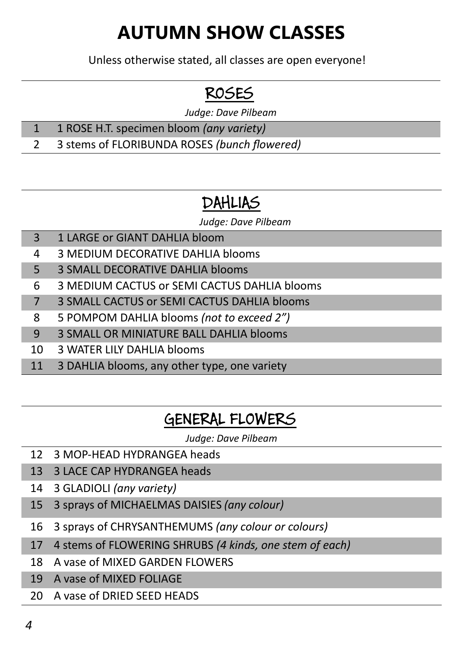# **AUTUMN SHOW CLASSES**

Unless otherwise stated, all classes are open everyone!

# ROSES

*Judge: Dave Pilbeam*

- 1 ROSE H.T. specimen bloom *(any variety)*
- 3 stems of FLORIBUNDA ROSES *(bunch flowered)*

# DAHLIAS

*Judge: Dave Pilbeam*

- 1 LARGE or GIANT DAHLIA bloom
- 3 MEDIUM DECORATIVE DAHLIA blooms
- 3 SMALL DECORATIVE DAHLIA blooms
- 3 MEDIUM CACTUS or SEMI CACTUS DAHLIA blooms
- 3 SMALL CACTUS or SEMI CACTUS DAHLIA blooms
- 5 POMPOM DAHLIA blooms *(not to exceed 2")*
- 3 SMALL OR MINIATURE BALL DAHLIA blooms
- 3 WATER LILY DAHLIA blooms
- 3 DAHLIA blooms, any other type, one variety

### GENERAL FLOWERS

*Judge: Dave Pilbeam*

- 3 MOP-HEAD HYDRANGEA heads
- 3 LACE CAP HYDRANGEA heads
- 3 GLADIOLI *(any variety)*
- 3 sprays of MICHAELMAS DAISIES *(any colour)*
- 3 sprays of CHRYSANTHEMUMS *(any colour or colours)*
- 4 stems of FLOWERING SHRUBS *(4 kinds, one stem of each)*
- A vase of MIXED GARDEN FLOWERS
- A vase of MIXED FOLIAGE
- A vase of DRIED SEED HEADS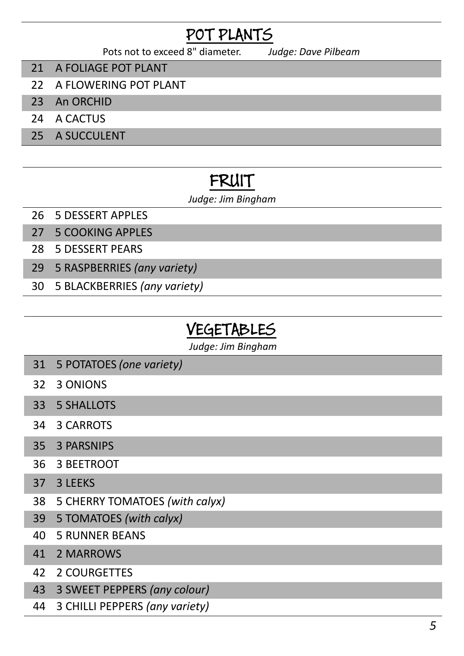### POT PLANTS

Pots not to exceed 8" diameter. *Judge: Dave Pilbeam*

- A FOLIAGE POT PLANT
- A FLOWERING POT PLANT
- An ORCHID
- A CACTUS
- A SUCCULENT

### FRUIT

#### *Judge: Jim Bingham*

- 5 DESSERT APPLES
- 5 COOKING APPLES
- 5 DESSERT PEARS
- 5 RASPBERRIES *(any variety)*
- 5 BLACKBERRIES *(any variety)*

#### VEGETABLES

*Judge: Jim Bingham*

- 5 POTATOES *(one variety)*
- 3 ONIONS
- 5 SHALLOTS
- 3 CARROTS
- 3 PARSNIPS
- 3 BEETROOT
- 37 3 LEEKS
- 5 CHERRY TOMATOES *(with calyx)*
- 5 TOMATOES *(with calyx)*
- 5 RUNNER BEANS
- 2 MARROWS
- 2 COURGETTES
- 3 SWEET PEPPERS *(any colour)*
- 3 CHILLI PEPPERS *(any variety)*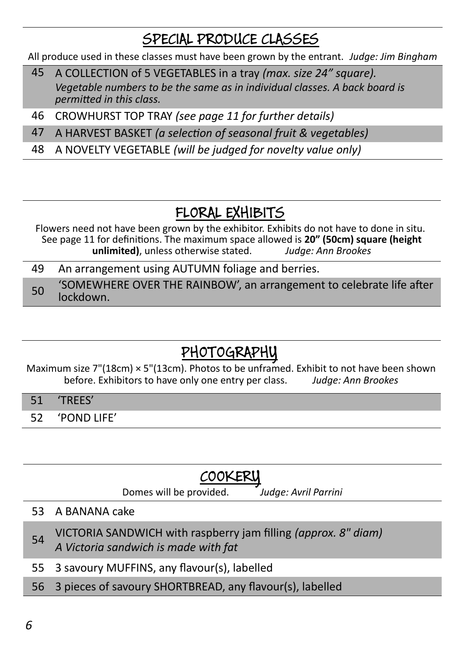#### SPECIAL PRODUCE CLASSES

All produce used in these classes must have been grown by the entrant. *Judge: Jim Bingham*

- 45 A COLLECTION of 5 VEGETABLES in a tray *(max. size 24" square). Vegetable numbers to be the same as in individual classes. A back board is permitted in this class.*
- 46 CROWHURST TOP TRAY *(see page 11 for further details)*
- 47 A HARVEST BASKET *(a selection of seasonal fruit & vegetables)*
- 48 A NOVELTY VEGETABLE *(will be judged for novelty value only)*

### FLORAL EXHIBITS

Flowers need not have been grown by the exhibitor. Exhibits do not have to done in situ. See page 11 for definitions. The maximum space allowed is **20" (50cm) square (height unlimited)**, unless otherwise stated. *Judge: Ann Brookes*

49 An arrangement using AUTUMN foliage and berries.

50 'SOMEWHERE OVER THE RAINBOW', an arrangement to celebrate life after lockdown.

## PHOTOGRAPHY

Maximum size  $7''(18cm) \times 5''(13cm)$ . Photos to be unframed. Exhibit to not have been shown before. Exhibitors to have only one entry per class. *Judge: Ann Brookes*

- 51 'TREES'
- 52 'POND LIFE'

### COOKERY

Domes will be provided. *Judge: Avril Parrini*

#### 53 A BANANA cake

<sup>54</sup> VICTORIA SANDWICH with raspberry jam filling *(approx. 8" diam) A Victoria sandwich is made with fat*

- 55 3 savoury MUFFINS, any flavour(s), labelled
- 56 3 pieces of savoury SHORTBREAD, any flavour(s), labelled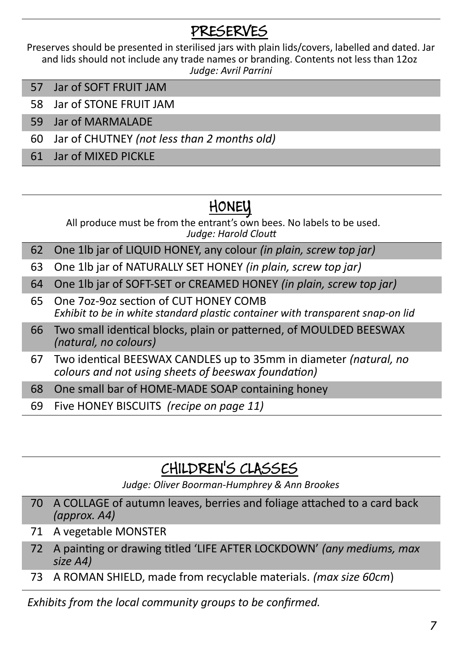### PRESERVES

Preserves should be presented in sterilised jars with plain lids/covers, labelled and dated. Jar and lids should not include any trade names or branding. Contents not less than 12oz *Judge: Avril Parrini*

- 57 Jar of SOFT FRUIT JAM
- 58 Jar of STONE FRUIT JAM
- 59 Jar of MARMALADE
- 60 Jar of CHUTNEY *(not less than 2 months old)*
- 61 Jar of MIXED PICKLE

#### HONEY

All produce must be from the entrant's own bees. No labels to be used. *Judge: Harold Cloutt*

- 62 One 1lb jar of LIQUID HONEY, any colour *(in plain, screw top jar)*
- 63 One 1lb jar of NATURALLY SET HONEY *(in plain, screw top jar)*
- 64 One 1lb jar of SOFT-SET or CREAMED HONEY *(in plain, screw top jar)*
- 65 One 7oz-9oz section of CUT HONEY COMB *Exhibit to be in white standard plastic container with transparent snap-on lid*
- 66 Two small identical blocks, plain or patterned, of MOULDED BEESWAX *(natural, no colours)*
- 67 Two identical BEESWAX CANDLES up to 35mm in diameter *(natural, no colours and not using sheets of beeswax foundation)*
- 68 One small bar of HOME-MADE SOAP containing honey
- 69 Five HONEY BISCUITS *(recipe on page 11)*

#### CHILDREN'S CLASSES

*Judge: Oliver Boorman-Humphrey & Ann Brookes*

- 70 A COLLAGE of autumn leaves, berries and foliage attached to a card back *(approx. A4)*
- 71 A vegetable MONSTER
- 72 A painting or drawing titled 'LIFE AFTER LOCKDOWN' *(any mediums, max size A4)*
- 73 A ROMAN SHIELD, made from recyclable materials. *(max size 60cm*)

*Exhibits from the local community groups to be confirmed.*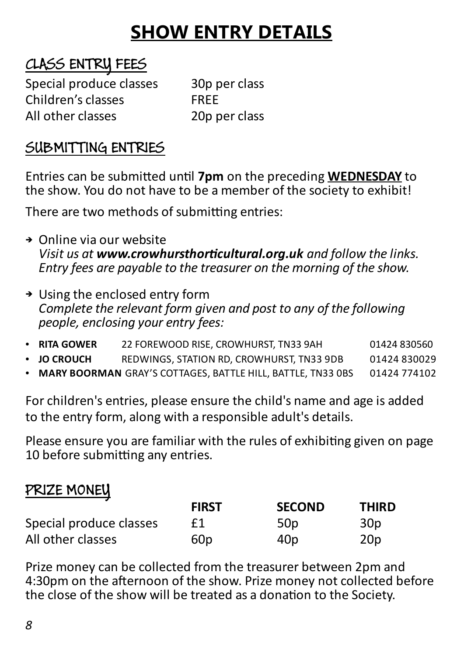# **SHOW ENTRY DETAILS**

#### CLASS ENTRY FEES

Special produce classes 30p per class Children's classes FREE All other classes and the 20p per class

#### SUBMITTING ENTRIES

Entries can be submitted until **7pm** on the preceding **WEDNESDAY** to the show. You do not have to be a member of the society to exhibit!

There are two methods of submitting entries:

- ➔ Online via our website *Visit us at www.crowhursthorticultural.org.uk and follow the links. Entry fees are payable to the treasurer on the morning of the show.*
- ➔ Using the enclosed entry form *Complete the relevant form given and post to any of the following people, enclosing your entry fees:*
- **RITA GOWER** 22 FOREWOOD RISE, CROWHURST, TN33 9AH 01424 830560
- **JO CROUCH** REDWINGS, STATION RD, CROWHURST, TN33 9DB 01424 830029
- **MARY BOORMAN** GRAY'S COTTAGES, BATTLE HILL, BATTLE, TN33 0BS 01424 774102

For children's entries, please ensure the child's name and age is added to the entry form, along with a responsible adult's details.

Please ensure you are familiar with the rules of exhibiting given on page 10 before submitting any entries.

#### PRIZE MONEY

|                         | <b>FIRST</b>    | <b>SECOND</b>   | <b>THIRD</b>    |
|-------------------------|-----------------|-----------------|-----------------|
| Special produce classes | £1              | 50 <sub>p</sub> | 30 <sub>p</sub> |
| All other classes       | 60 <sub>p</sub> | 40 <sub>p</sub> | 20 <sub>p</sub> |

Prize money can be collected from the treasurer between 2pm and 4:30pm on the afternoon of the show. Prize money not collected before the close of the show will be treated as a donation to the Society.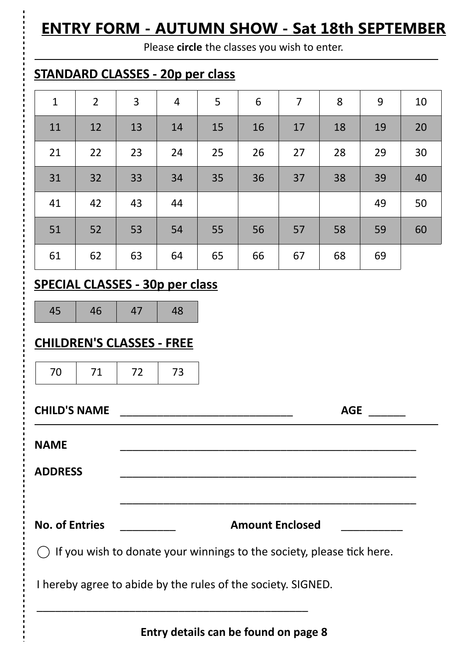### **ENTRY FORM - AUTUMN SHOW - Sat 18th SEPTEMBER**

Please **circle** the classes you wish to enter.

#### **STANDARD CLASSES - 20p per class**

| $\mathbf{1}$ | $\overline{2}$ | $\overline{3}$ | $\overline{4}$ | 5  | 6  | $\overline{7}$ | 8  | 9  | 10 |
|--------------|----------------|----------------|----------------|----|----|----------------|----|----|----|
| 11           | 12             | 13             | 14             | 15 | 16 | 17             | 18 | 19 | 20 |
| 21           | 22             | 23             | 24             | 25 | 26 | 27             | 28 | 29 | 30 |
| 31           | 32             | 33             | 34             | 35 | 36 | 37             | 38 | 39 | 40 |
| 41           | 42             | 43             | 44             |    |    |                |    | 49 | 50 |
| 51           | 52             | 53             | 54             | 55 | 56 | 57             | 58 | 59 | 60 |
| 61           | 62             | 63             | 64             | 65 | 66 | 67             | 68 | 69 |    |

#### **SPECIAL CLASSES - 30p per class**

45 46 47 48

#### **CHILDREN'S CLASSES - FREE**

70 71 72 73

**CHILD'S NAME** \_\_\_\_\_\_\_\_\_\_\_\_\_\_\_\_\_\_\_\_\_\_\_\_\_\_\_\_ **AGE** \_\_\_\_\_\_ **NAME** \_\_\_\_\_\_\_\_\_\_\_\_\_\_\_\_\_\_\_\_\_\_\_\_\_\_\_\_\_\_\_\_\_\_\_\_\_\_\_\_\_\_\_\_\_\_\_\_ **ADDRESS** \_\_\_\_\_\_\_\_\_\_\_\_\_\_\_\_\_\_\_\_\_\_\_\_\_\_\_\_\_\_\_\_\_\_\_\_\_\_\_\_\_\_\_\_\_\_\_\_ \_\_\_\_\_\_\_\_\_\_\_\_\_\_\_\_\_\_\_\_\_\_\_\_\_\_\_\_\_\_\_\_\_\_\_\_\_\_\_\_\_\_\_\_\_\_\_\_ **No. of Entries** \_\_\_\_\_\_\_\_\_ **Amount Enclosed** \_\_\_\_\_\_\_\_\_\_  $\bigcirc$  If you wish to donate your winnings to the society, please tick here.

I hereby agree to abide by the rules of the society. SIGNED.

\_\_\_\_\_\_\_\_\_\_\_\_\_\_\_\_\_\_\_\_\_\_\_\_\_\_\_\_\_\_\_\_\_\_\_\_\_\_\_\_\_\_\_\_

**Entry details can be found on page 8**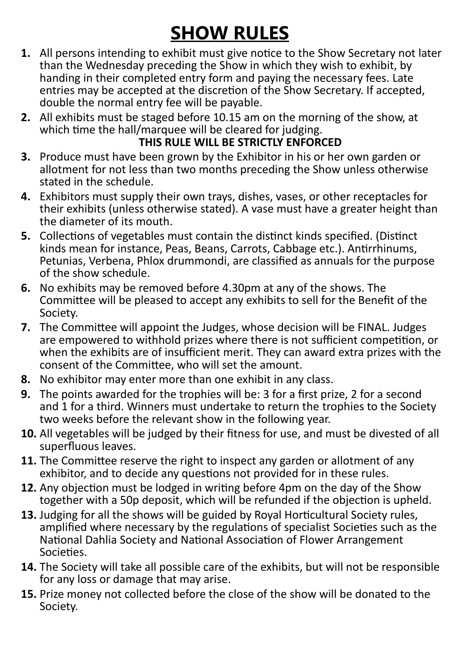# **SHOW RULES**

- **1.** All persons intending to exhibit must give notice to the Show Secretary not later than the Wednesday preceding the Show in which they wish to exhibit, by handing in their completed entry form and paying the necessary fees. Late entries may be accepted at the discretion of the Show Secretary. If accepted, double the normal entry fee will be payable.
- **2.** All exhibits must be staged before 10.15 am on the morning of the show, at which time the hall/marquee will be cleared for judging.

#### **THIS RULE WILL BE STRICTLY ENFORCED**

- **3.** Produce must have been grown by the Exhibitor in his or her own garden or allotment for not less than two months preceding the Show unless otherwise stated in the schedule.
- **4.** Exhibitors must supply their own trays, dishes, vases, or other receptacles for their exhibits (unless otherwise stated). A vase must have a greater height than the diameter of its mouth.
- **5.** Collections of vegetables must contain the distinct kinds specified. (Distinct kinds mean for instance, Peas, Beans, Carrots, Cabbage etc.). Antirrhinums, Petunias, Verbena, Phlox drummondi, are classified as annuals for the purpose of the show schedule.
- **6.** No exhibits may be removed before 4.30pm at any of the shows. The Committee will be pleased to accept any exhibits to sell for the Benefit of the Society.
- **7.** The Committee will appoint the Judges, whose decision will be FINAL. Judges are empowered to withhold prizes where there is not sufficient competition, or when the exhibits are of insufficient merit. They can award extra prizes with the consent of the Committee, who will set the amount.
- **8.** No exhibitor may enter more than one exhibit in any class.
- **9.** The points awarded for the trophies will be: 3 for a first prize, 2 for a second and 1 for a third. Winners must undertake to return the trophies to the Society two weeks before the relevant show in the following year.
- **10.** All vegetables will be judged by their fitness for use, and must be divested of all superfluous leaves.
- **11.** The Committee reserve the right to inspect any garden or allotment of any exhibitor, and to decide any questions not provided for in these rules.
- **12.** Any objection must be lodged in writing before 4pm on the day of the Show together with a 50p deposit, which will be refunded if the objection is upheld.
- **13.** Judging for all the shows will be guided by Royal Horticultural Society rules, amplified where necessary by the regulations of specialist Societies such as the National Dahlia Society and National Association of Flower Arrangement Societies.
- **14.** The Society will take all possible care of the exhibits, but will not be responsible for any loss or damage that may arise.
- **15.** Prize money not collected before the close of the show will be donated to the Society.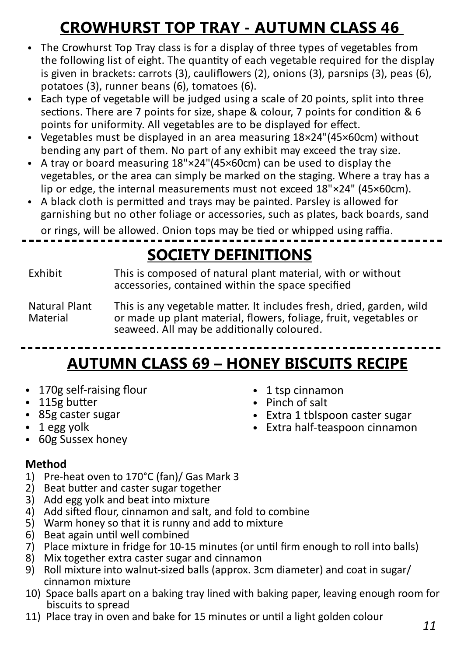# **CROWHURST TOP TRAY - AUTUMN CLASS 46**

- The Crowhurst Top Tray class is for a display of three types of vegetables from the following list of eight. The quantity of each vegetable required for the display is given in brackets: carrots (3), cauliflowers (2), onions (3), parsnips (3), peas (6), potatoes (3), runner beans (6), tomatoes (6).
- Each type of vegetable will be judged using a scale of 20 points, split into three sections. There are 7 points for size, shape & colour, 7 points for condition & 6 points for uniformity. All vegetables are to be displayed for effect.
- Vegetables must be displayed in an area measuring 18×24"(45×60cm) without bending any part of them. No part of any exhibit may exceed the tray size.
- A tray or board measuring 18"×24"(45×60cm) can be used to display the vegetables, or the area can simply be marked on the staging. Where a tray has a lip or edge, the internal measurements must not exceed 18"×24" (45×60cm).
- A black cloth is permitted and trays may be painted. Parsley is allowed for garnishing but no other foliage or accessories, such as plates, back boards, sand

or rings, will be allowed. Onion tops may be tied or whipped using raffia.

# **SOCIETY DEFINITIONS**

Exhibit This is composed of natural plant material, with or without accessories, contained within the space specified

Natural Plant This is any vegetable matter. It includes fresh, dried, garden, wild<br>Material or made up plant material. flowers. foliage. fruit. vegetables or or made up plant material, flowers, foliage, fruit, vegetables or seaweed. All may be additionally coloured.

# **AUTUMN CLASS 69 – HONEY BISCUITS RECIPE**

- 170g self-raising flour
- $\cdot$  115g butter
- 85g caster sugar
- $\cdot$  1 egg yolk
- 60g Sussex honey

#### **Method**

- 1) Pre-heat oven to 170°C (fan)/ Gas Mark 3
- 2) Beat butter and caster sugar together
- 3) Add egg yolk and beat into mixture
- 4) Add sifted flour, cinnamon and salt, and fold to combine
- 5) Warm honey so that it is runny and add to mixture
- 6) Beat again until well combined
- 7) Place mixture in fridge for 10-15 minutes (or until firm enough to roll into balls)
- 8) Mix together extra caster sugar and cinnamon
- 9) Roll mixture into walnut-sized balls (approx. 3cm diameter) and coat in sugar/ cinnamon mixture
- 10) Space balls apart on a baking tray lined with baking paper, leaving enough room for biscuits to spread
- 11) Place tray in oven and bake for 15 minutes or until a light golden colour
- 1 tsp cinnamon
- Pinch of salt
- Extra 1 tblspoon caster sugar
- Extra half-teaspoon cinnamon